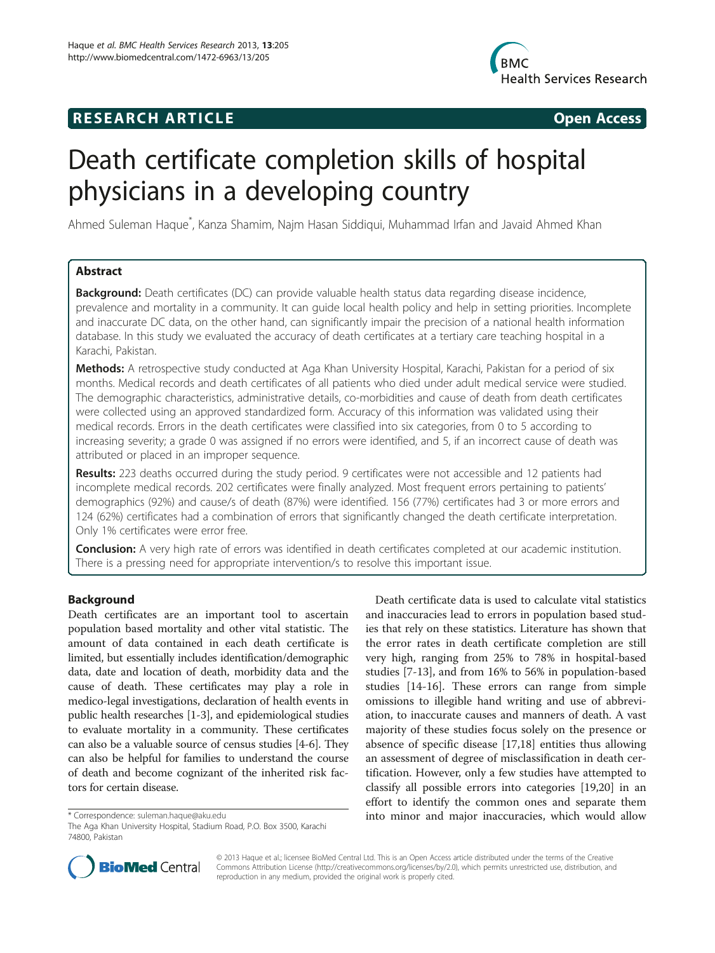## **RESEARCH ARTICLE Example 2014 CONSIDERING CONSIDERING CONSIDERING CONSIDERING CONSIDERING CONSIDERING CONSIDERING CONSIDERING CONSIDERING CONSIDERING CONSIDERING CONSIDERING CONSIDERING CONSIDERING CONSIDERING CONSIDE**



# Death certificate completion skills of hospital physicians in a developing country

Ahmed Suleman Haque<sup>\*</sup>, Kanza Shamim, Najm Hasan Siddiqui, Muhammad Irfan and Javaid Ahmed Khan

## Abstract

**Background:** Death certificates (DC) can provide valuable health status data regarding disease incidence, prevalence and mortality in a community. It can guide local health policy and help in setting priorities. Incomplete and inaccurate DC data, on the other hand, can significantly impair the precision of a national health information database. In this study we evaluated the accuracy of death certificates at a tertiary care teaching hospital in a Karachi, Pakistan.

Methods: A retrospective study conducted at Aga Khan University Hospital, Karachi, Pakistan for a period of six months. Medical records and death certificates of all patients who died under adult medical service were studied. The demographic characteristics, administrative details, co-morbidities and cause of death from death certificates were collected using an approved standardized form. Accuracy of this information was validated using their medical records. Errors in the death certificates were classified into six categories, from 0 to 5 according to increasing severity; a grade 0 was assigned if no errors were identified, and 5, if an incorrect cause of death was attributed or placed in an improper sequence.

Results: 223 deaths occurred during the study period. 9 certificates were not accessible and 12 patients had incomplete medical records. 202 certificates were finally analyzed. Most frequent errors pertaining to patients' demographics (92%) and cause/s of death (87%) were identified. 156 (77%) certificates had 3 or more errors and 124 (62%) certificates had a combination of errors that significantly changed the death certificate interpretation. Only 1% certificates were error free.

**Conclusion:** A very high rate of errors was identified in death certificates completed at our academic institution. There is a pressing need for appropriate intervention/s to resolve this important issue.

## Background

Death certificates are an important tool to ascertain population based mortality and other vital statistic. The amount of data contained in each death certificate is limited, but essentially includes identification/demographic data, date and location of death, morbidity data and the cause of death. These certificates may play a role in medico-legal investigations, declaration of health events in public health researches [[1-3](#page-3-0)], and epidemiological studies to evaluate mortality in a community. These certificates can also be a valuable source of census studies [\[4-6](#page-3-0)]. They can also be helpful for families to understand the course of death and become cognizant of the inherited risk factors for certain disease.

Death certificate data is used to calculate vital statistics and inaccuracies lead to errors in population based studies that rely on these statistics. Literature has shown that the error rates in death certificate completion are still very high, ranging from 25% to 78% in hospital-based studies [\[7-13](#page-3-0)], and from 16% to 56% in population-based studies [\[14-16](#page-3-0)]. These errors can range from simple omissions to illegible hand writing and use of abbreviation, to inaccurate causes and manners of death. A vast majority of these studies focus solely on the presence or absence of specific disease [\[17,18](#page-3-0)] entities thus allowing an assessment of degree of misclassification in death certification. However, only a few studies have attempted to classify all possible errors into categories [[19,20\]](#page-3-0) in an effort to identify the common ones and separate them \* Correspondence: [suleman.haque@aku.edu](mailto:suleman.haque@aku.edu) into minor and major inaccuracies, which would allow



© 2013 Haque et al.; licensee BioMed Central Ltd. This is an Open Access article distributed under the terms of the Creative Commons Attribution License [\(http://creativecommons.org/licenses/by/2.0\)](http://creativecommons.org/licenses/by/2.0), which permits unrestricted use, distribution, and reproduction in any medium, provided the original work is properly cited.

The Aga Khan University Hospital, Stadium Road, P.O. Box 3500, Karachi 74800, Pakistan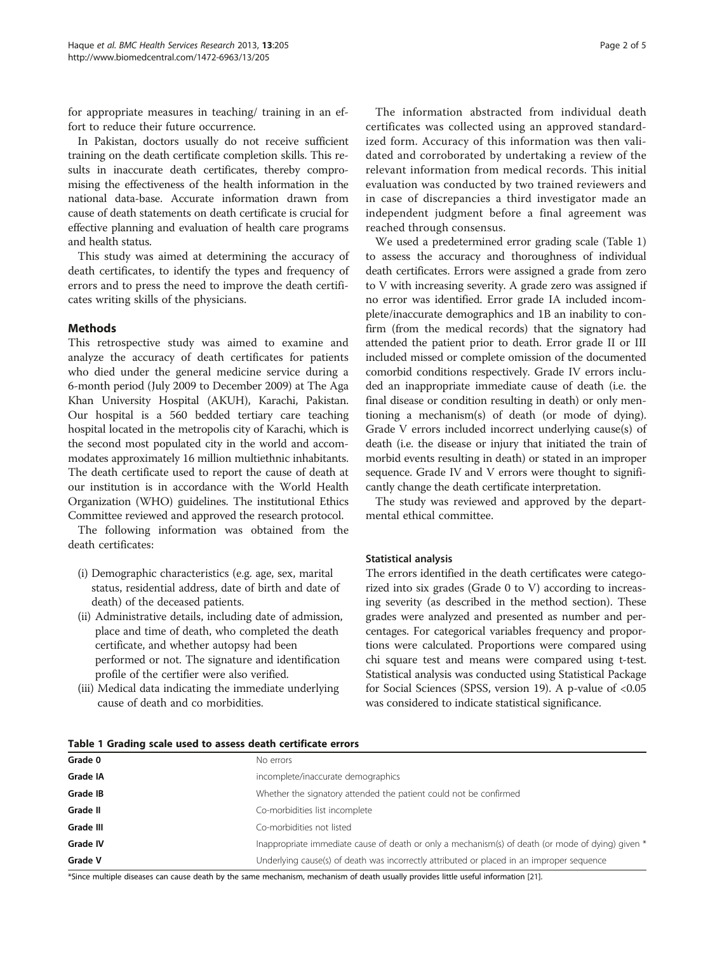<span id="page-1-0"></span>for appropriate measures in teaching/ training in an effort to reduce their future occurrence.

In Pakistan, doctors usually do not receive sufficient training on the death certificate completion skills. This results in inaccurate death certificates, thereby compromising the effectiveness of the health information in the national data-base. Accurate information drawn from cause of death statements on death certificate is crucial for effective planning and evaluation of health care programs and health status.

This study was aimed at determining the accuracy of death certificates, to identify the types and frequency of errors and to press the need to improve the death certificates writing skills of the physicians.

## **Methods**

This retrospective study was aimed to examine and analyze the accuracy of death certificates for patients who died under the general medicine service during a 6-month period (July 2009 to December 2009) at The Aga Khan University Hospital (AKUH), Karachi, Pakistan. Our hospital is a 560 bedded tertiary care teaching hospital located in the metropolis city of Karachi, which is the second most populated city in the world and accommodates approximately 16 million multiethnic inhabitants. The death certificate used to report the cause of death at our institution is in accordance with the World Health Organization (WHO) guidelines. The institutional Ethics Committee reviewed and approved the research protocol.

The following information was obtained from the death certificates:

- (i) Demographic characteristics (e.g. age, sex, marital status, residential address, date of birth and date of death) of the deceased patients.
- (ii) Administrative details, including date of admission, place and time of death, who completed the death certificate, and whether autopsy had been performed or not. The signature and identification profile of the certifier were also verified.
- (iii) Medical data indicating the immediate underlying cause of death and co morbidities.

The information abstracted from individual death certificates was collected using an approved standardized form. Accuracy of this information was then validated and corroborated by undertaking a review of the relevant information from medical records. This initial evaluation was conducted by two trained reviewers and in case of discrepancies a third investigator made an independent judgment before a final agreement was reached through consensus.

We used a predetermined error grading scale (Table 1) to assess the accuracy and thoroughness of individual death certificates. Errors were assigned a grade from zero to V with increasing severity. A grade zero was assigned if no error was identified. Error grade IA included incomplete/inaccurate demographics and 1B an inability to confirm (from the medical records) that the signatory had attended the patient prior to death. Error grade II or III included missed or complete omission of the documented comorbid conditions respectively. Grade IV errors included an inappropriate immediate cause of death (i.e. the final disease or condition resulting in death) or only mentioning a mechanism(s) of death (or mode of dying). Grade V errors included incorrect underlying cause(s) of death (i.e. the disease or injury that initiated the train of morbid events resulting in death) or stated in an improper sequence. Grade IV and V errors were thought to significantly change the death certificate interpretation.

The study was reviewed and approved by the departmental ethical committee.

### Statistical analysis

The errors identified in the death certificates were categorized into six grades (Grade 0 to V) according to increasing severity (as described in the method section). These grades were analyzed and presented as number and percentages. For categorical variables frequency and proportions were calculated. Proportions were compared using chi square test and means were compared using t-test. Statistical analysis was conducted using Statistical Package for Social Sciences (SPSS, version 19). A p-value of <0.05 was considered to indicate statistical significance.

| Table 1 Grading scale used to assess death certificate errors |  |
|---------------------------------------------------------------|--|
|---------------------------------------------------------------|--|

| Grade 0   | No errors                                                                                         |
|-----------|---------------------------------------------------------------------------------------------------|
| Grade IA  | incomplete/inaccurate demographics                                                                |
| Grade IB  | Whether the signatory attended the patient could not be confirmed                                 |
| Grade II  | Co-morbidities list incomplete                                                                    |
| Grade III | Co-morbidities not listed                                                                         |
| Grade IV  | Inappropriate immediate cause of death or only a mechanism(s) of death (or mode of dying) given * |
| Grade V   | Underlying cause(s) of death was incorrectly attributed or placed in an improper sequence         |

\*Since multiple diseases can cause death by the same mechanism, mechanism of death usually provides little useful information [[21\]](#page-3-0).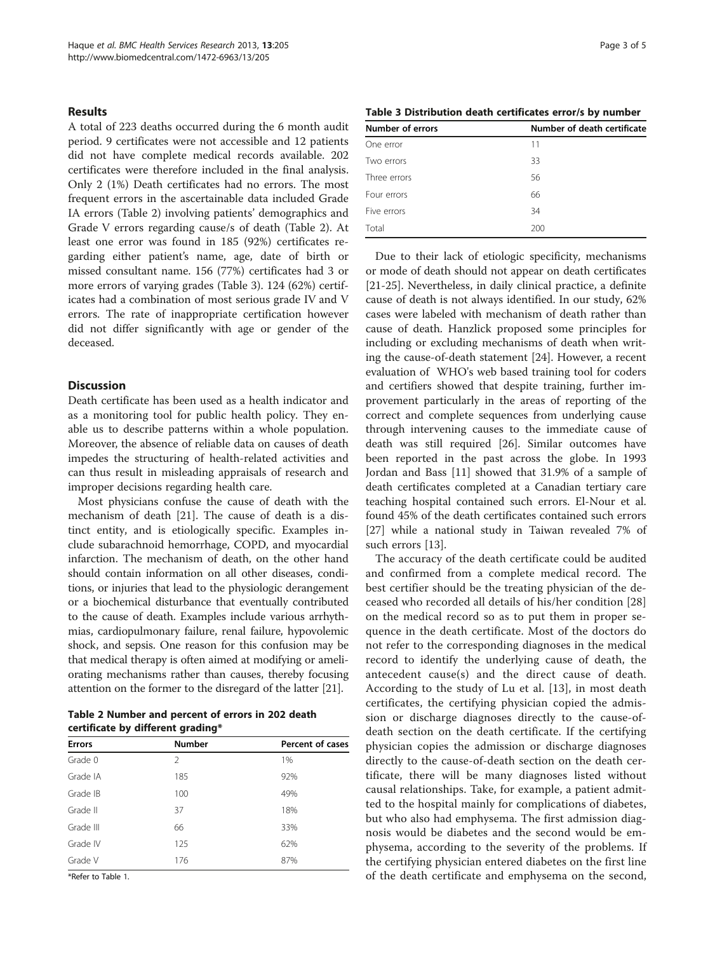#### Results

A total of 223 deaths occurred during the 6 month audit period. 9 certificates were not accessible and 12 patients did not have complete medical records available. 202 certificates were therefore included in the final analysis. Only 2 (1%) Death certificates had no errors. The most frequent errors in the ascertainable data included Grade IA errors (Table 2) involving patients' demographics and Grade V errors regarding cause/s of death (Table 2). At least one error was found in 185 (92%) certificates regarding either patient's name, age, date of birth or missed consultant name. 156 (77%) certificates had 3 or more errors of varying grades (Table 3). 124 (62%) certificates had a combination of most serious grade IV and V errors. The rate of inappropriate certification however did not differ significantly with age or gender of the deceased.

## Discussion

Death certificate has been used as a health indicator and as a monitoring tool for public health policy. They enable us to describe patterns within a whole population. Moreover, the absence of reliable data on causes of death impedes the structuring of health-related activities and can thus result in misleading appraisals of research and improper decisions regarding health care.

Most physicians confuse the cause of death with the mechanism of death [\[21\]](#page-3-0). The cause of death is a distinct entity, and is etiologically specific. Examples include subarachnoid hemorrhage, COPD, and myocardial infarction. The mechanism of death, on the other hand should contain information on all other diseases, conditions, or injuries that lead to the physiologic derangement or a biochemical disturbance that eventually contributed to the cause of death. Examples include various arrhythmias, cardiopulmonary failure, renal failure, hypovolemic shock, and sepsis. One reason for this confusion may be that medical therapy is often aimed at modifying or ameliorating mechanisms rather than causes, thereby focusing attention on the former to the disregard of the latter [\[21\]](#page-3-0).

Table 2 Number and percent of errors in 202 death certificate by different grading\*

| <b>Errors</b> | <b>Number</b> | <b>Percent of cases</b> |
|---------------|---------------|-------------------------|
| Grade 0       | 2             | 1%                      |
| Grade IA      | 185           | 92%                     |
| Grade IB      | 100           | 49%                     |
| Grade II      | 37            | 18%                     |
| Grade III     | 66            | 33%                     |
| Grade IV      | 125           | 62%                     |
| Grade V       | 176           | 87%                     |

\*Refer to Table [1](#page-1-0).

| Table 3 Distribution death certificates error/s by number |  |
|-----------------------------------------------------------|--|
|-----------------------------------------------------------|--|

| Number of errors | Number of death certificate |
|------------------|-----------------------------|
| One error        | 11                          |
| Two errors       | 33                          |
| Three errors     | 56                          |
| Four errors      | 66                          |
| Five errors      | 34                          |
| Total            | 200                         |

Due to their lack of etiologic specificity, mechanisms or mode of death should not appear on death certificates [[21-](#page-3-0)[25](#page-4-0)]. Nevertheless, in daily clinical practice, a definite cause of death is not always identified. In our study, 62% cases were labeled with mechanism of death rather than cause of death. Hanzlick proposed some principles for including or excluding mechanisms of death when writing the cause-of-death statement [\[24\]](#page-3-0). However, a recent evaluation of WHO's web based training tool for coders and certifiers showed that despite training, further improvement particularly in the areas of reporting of the correct and complete sequences from underlying cause through intervening causes to the immediate cause of death was still required [[26](#page-4-0)]. Similar outcomes have been reported in the past across the globe. In 1993 Jordan and Bass [\[11](#page-3-0)] showed that 31.9% of a sample of death certificates completed at a Canadian tertiary care teaching hospital contained such errors. El-Nour et al. found 45% of the death certificates contained such errors [[27\]](#page-4-0) while a national study in Taiwan revealed 7% of such errors [[13\]](#page-3-0).

The accuracy of the death certificate could be audited and confirmed from a complete medical record. The best certifier should be the treating physician of the deceased who recorded all details of his/her condition [\[28](#page-4-0)] on the medical record so as to put them in proper sequence in the death certificate. Most of the doctors do not refer to the corresponding diagnoses in the medical record to identify the underlying cause of death, the antecedent cause(s) and the direct cause of death. According to the study of Lu et al. [[13](#page-3-0)], in most death certificates, the certifying physician copied the admission or discharge diagnoses directly to the cause-ofdeath section on the death certificate. If the certifying physician copies the admission or discharge diagnoses directly to the cause-of-death section on the death certificate, there will be many diagnoses listed without causal relationships. Take, for example, a patient admitted to the hospital mainly for complications of diabetes, but who also had emphysema. The first admission diagnosis would be diabetes and the second would be emphysema, according to the severity of the problems. If the certifying physician entered diabetes on the first line of the death certificate and emphysema on the second,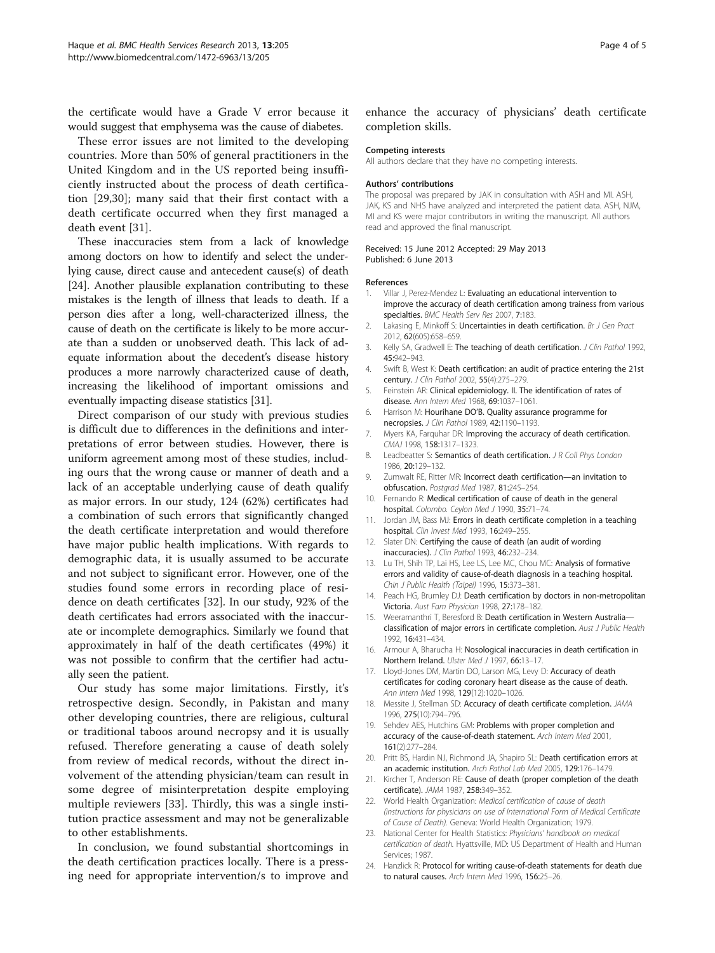<span id="page-3-0"></span>the certificate would have a Grade V error because it would suggest that emphysema was the cause of diabetes.

These error issues are not limited to the developing countries. More than 50% of general practitioners in the United Kingdom and in the US reported being insufficiently instructed about the process of death certification [\[29,30](#page-4-0)]; many said that their first contact with a death certificate occurred when they first managed a death event [[31\]](#page-4-0).

These inaccuracies stem from a lack of knowledge among doctors on how to identify and select the underlying cause, direct cause and antecedent cause(s) of death [24]. Another plausible explanation contributing to these mistakes is the length of illness that leads to death. If a person dies after a long, well-characterized illness, the cause of death on the certificate is likely to be more accurate than a sudden or unobserved death. This lack of adequate information about the decedent's disease history produces a more narrowly characterized cause of death, increasing the likelihood of important omissions and eventually impacting disease statistics [[31\]](#page-4-0).

Direct comparison of our study with previous studies is difficult due to differences in the definitions and interpretations of error between studies. However, there is uniform agreement among most of these studies, including ours that the wrong cause or manner of death and a lack of an acceptable underlying cause of death qualify as major errors. In our study, 124 (62%) certificates had a combination of such errors that significantly changed the death certificate interpretation and would therefore have major public health implications. With regards to demographic data, it is usually assumed to be accurate and not subject to significant error. However, one of the studies found some errors in recording place of residence on death certificates [[32\]](#page-4-0). In our study, 92% of the death certificates had errors associated with the inaccurate or incomplete demographics. Similarly we found that approximately in half of the death certificates (49%) it was not possible to confirm that the certifier had actually seen the patient.

Our study has some major limitations. Firstly, it's retrospective design. Secondly, in Pakistan and many other developing countries, there are religious, cultural or traditional taboos around necropsy and it is usually refused. Therefore generating a cause of death solely from review of medical records, without the direct involvement of the attending physician/team can result in some degree of misinterpretation despite employing multiple reviewers [[33\]](#page-4-0). Thirdly, this was a single institution practice assessment and may not be generalizable to other establishments.

In conclusion, we found substantial shortcomings in the death certification practices locally. There is a pressing need for appropriate intervention/s to improve and enhance the accuracy of physicians' death certificate completion skills.

#### Competing interests

All authors declare that they have no competing interests.

#### Authors' contributions

The proposal was prepared by JAK in consultation with ASH and MI. ASH, JAK, KS and NHS have analyzed and interpreted the patient data. ASH, NJM, MI and KS were major contributors in writing the manuscript. All authors read and approved the final manuscript.

#### Received: 15 June 2012 Accepted: 29 May 2013 Published: 6 June 2013

#### References

- 1. Villar J, Perez-Mendez L: Evaluating an educational intervention to improve the accuracy of death certification among trainess from various specialties. BMC Health Serv Res 2007, 7:183.
- 2. Lakasing E, Minkoff S: Uncertainties in death certification. Br J Gen Pract 2012, 62(605):658–659.
- 3. Kelly SA, Gradwell E: The teaching of death certification. J Clin Pathol 1992, 45:942–943.
- 4. Swift B, West K: Death certification: an audit of practice entering the 21st century. J Clin Pathol 2002, 55(4):275–279.
- 5. Feinstein AR: Clinical epidemiology. II. The identification of rates of disease. Ann Intern Med 1968, 69:1037–1061.
- 6. Harrison M: Hourihane DO'B. Quality assurance programme for necropsies. J Clin Pathol 1989, 42:1190–1193.
- 7. Myers KA, Farquhar DR: Improving the accuracy of death certification. CMAJ 1998, 158:1317–1323.
- 8. Leadbeatter S: Semantics of death certification. J R Coll Phys London 1986, 20:129–132.
- 9. Zumwalt RE, Ritter MR: Incorrect death certification—an invitation to obfuscation. Postgrad Med 1987, 81:245-254.
- 10. Fernando R: Medical certification of cause of death in the general hospital. Colombo. Ceylon Med J 1990, 35:71–74.
- 11. Jordan JM, Bass MJ: Errors in death certificate completion in a teaching hospital. Clin Invest Med 1993, 16:249-255.
- 12. Slater DN: Certifying the cause of death (an audit of wording inaccuracies). J Clin Pathol 1993, 46:232–234.
- 13. Lu TH, Shih TP, Lai HS, Lee LS, Lee MC, Chou MC: Analysis of formative errors and validity of cause-of-death diagnosis in a teaching hospital. Chin J Public Health (Taipei) 1996, 15:373–381.
- 14. Peach HG, Brumley DJ: Death certification by doctors in non-metropolitan Victoria. Aust Fam Physician 1998, 27:178–182.
- 15. Weeramanthri T, Beresford B: Death certification in Western Australia classification of major errors in certificate completion. Aust J Public Health 1992, 16:431–434.
- 16. Armour A, Bharucha H: Nosological inaccuracies in death certification in Northern Ireland. Ulster Med J 1997, 66:13–17.
- 17. Lloyd-Jones DM, Martin DO, Larson MG, Levy D: Accuracy of death certificates for coding coronary heart disease as the cause of death. Ann Intern Med 1998, 129(12):1020–1026.
- 18. Messite J, Stellman SD: Accuracy of death certificate completion. JAMA 1996, 275(10):794–796.
- 19. Sehdev AES, Hutchins GM: Problems with proper completion and accuracy of the cause-of-death statement. Arch Intern Med 2001, 161(2):277–284.
- 20. Pritt BS, Hardin NJ, Richmond JA, Shapiro SL: Death certification errors at an academic institution. Arch Pathol Lab Med 2005, 129:176–1479.
- 21. Kircher T, Anderson RE: Cause of death (proper completion of the death certificate). JAMA 1987, 258:349–352.
- 22. World Health Organization: Medical certification of cause of death (instructions for physicians on use of International Form of Medical Certificate of Cause of Death). Geneva: World Health Organization; 1979.
- 23. National Center for Health Statistics: Physicians' handbook on medical certification of death. Hyattsville, MD: US Department of Health and Human Services; 1987.
- 24. Hanzlick R: Protocol for writing cause-of-death statements for death due to natural causes. Arch Intern Med 1996, 156:25–26.